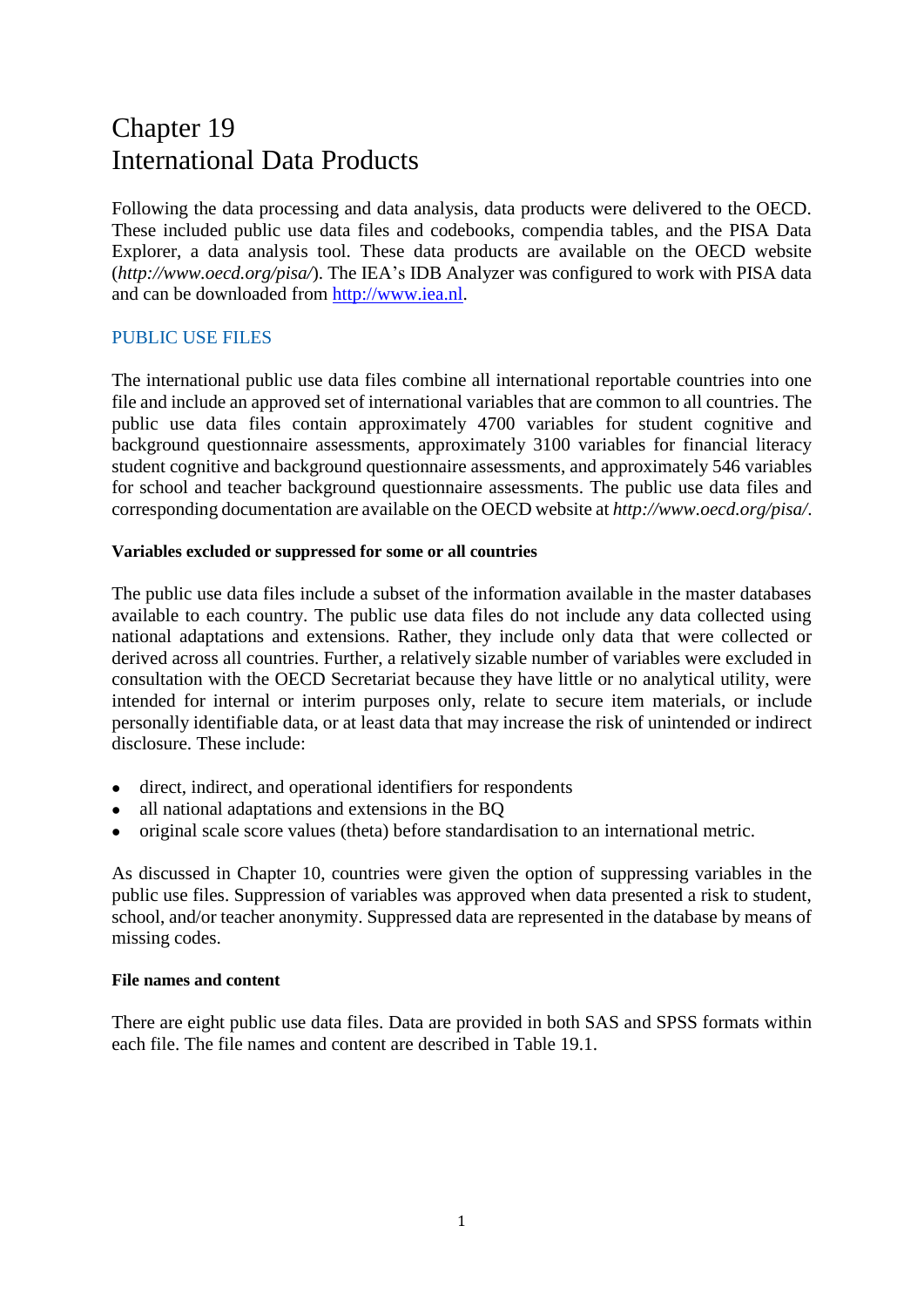# Chapter 19 International Data Products

Following the data processing and data analysis, data products were delivered to the OECD. These included public use data files and codebooks, compendia tables, and the PISA Data Explorer, a data analysis tool. These data products are available on the OECD website (*<http://www.oecd.org/pisa/>*). The IEA's IDB Analyzer was configured to work with PISA data and can be downloaded from [http://www.iea.nl.](http://www.iea.nl/)

# PUBLIC USE FILES

The international public use data files combine all international reportable countries into one file and include an approved set of international variables that are common to all countries. The public use data files contain approximately 4700 variables for student cognitive and background questionnaire assessments, approximately 3100 variables for financial literacy student cognitive and background questionnaire assessments, and approximately 546 variables for school and teacher background questionnaire assessments. The public use data files and corresponding documentation are available on the OECD website at *<http://www.oecd.org/pisa/>*.

#### **Variables excluded or suppressed for some or all countries**

The public use data files include a subset of the information available in the master databases available to each country. The public use data files do not include any data collected using national adaptations and extensions. Rather, they include only data that were collected or derived across all countries. Further, a relatively sizable number of variables were excluded in consultation with the OECD Secretariat because they have little or no analytical utility, were intended for internal or interim purposes only, relate to secure item materials, or include personally identifiable data, or at least data that may increase the risk of unintended or indirect disclosure. These include:

- direct, indirect, and operational identifiers for respondents
- all national adaptations and extensions in the BQ
- original scale score values (theta) before standardisation to an international metric.

As discussed in Chapter 10, countries were given the option of suppressing variables in the public use files. Suppression of variables was approved when data presented a risk to student, school, and/or teacher anonymity. Suppressed data are represented in the database by means of missing codes.

#### **File names and content**

There are eight public use data files. Data are provided in both SAS and SPSS formats within each file. The file names and content are described in Table 19.1.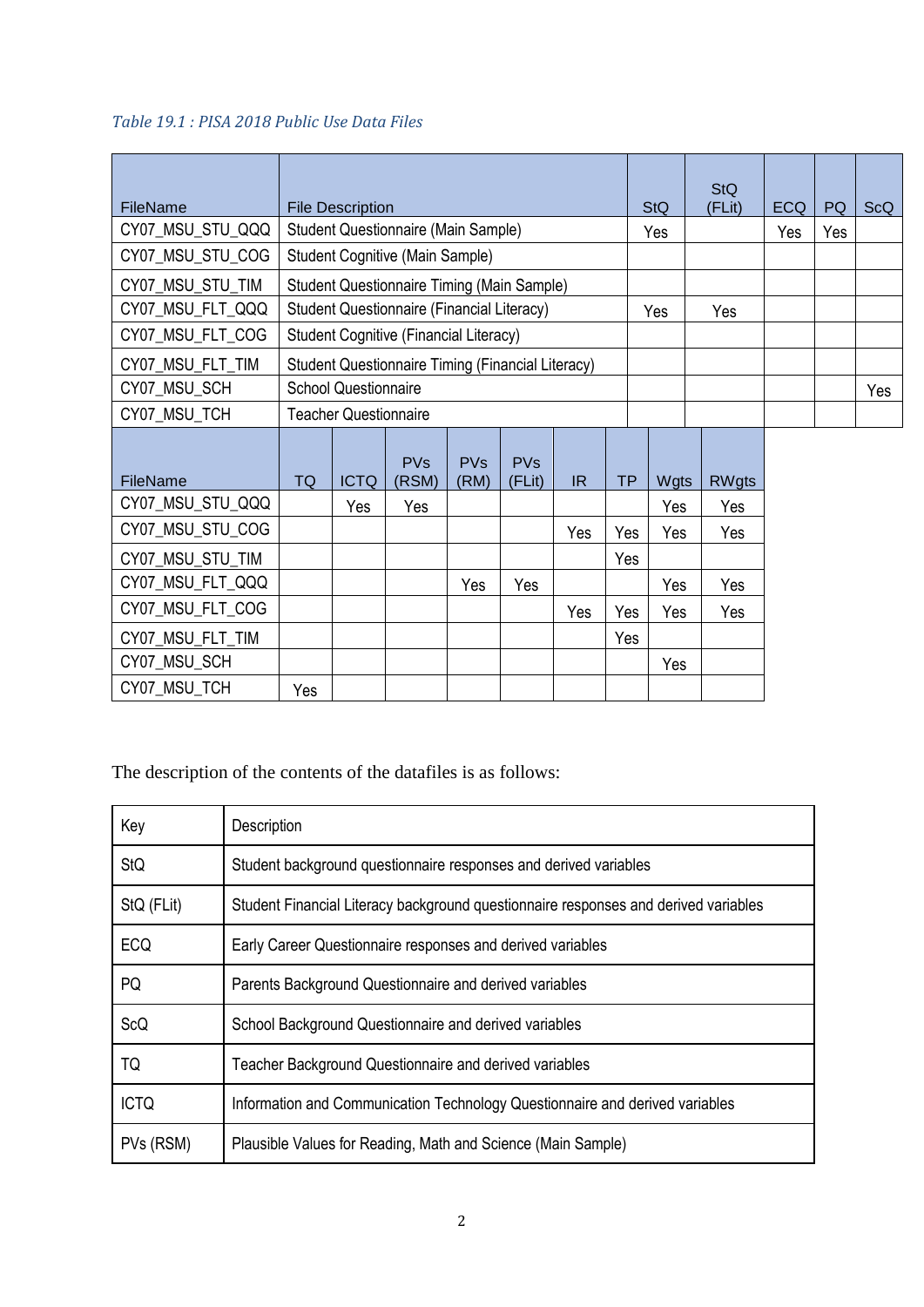# *Table 19.1 : PISA 2018 Public Use Data Files*

| FileName         |                                                          | <b>File Description</b> |                                |                    |                                 |     |     | <b>StQ</b> | <b>StQ</b><br>(FLit) | <b>ECQ</b> | PQ | <b>ScQ</b> |
|------------------|----------------------------------------------------------|-------------------------|--------------------------------|--------------------|---------------------------------|-----|-----|------------|----------------------|------------|----|------------|
| CY07_MSU_STU_QQQ | Student Questionnaire (Main Sample)                      |                         |                                |                    |                                 |     | Yes |            | Yes                  | Yes        |    |            |
| CY07 MSU STU COG | <b>Student Cognitive (Main Sample)</b>                   |                         |                                |                    |                                 |     |     |            |                      |            |    |            |
| CY07_MSU_STU_TIM | <b>Student Questionnaire Timing (Main Sample)</b>        |                         |                                |                    |                                 |     |     |            |                      |            |    |            |
| CY07_MSU_FLT_QQQ | Student Questionnaire (Financial Literacy)<br>Yes<br>Yes |                         |                                |                    |                                 |     |     |            |                      |            |    |            |
| CY07_MSU_FLT_COG | Student Cognitive (Financial Literacy)                   |                         |                                |                    |                                 |     |     |            |                      |            |    |            |
| CY07_MSU_FLT_TIM | <b>Student Questionnaire Timing (Financial Literacy)</b> |                         |                                |                    |                                 |     |     |            |                      |            |    |            |
| CY07_MSU_SCH     | <b>School Questionnaire</b>                              |                         |                                |                    |                                 |     |     |            |                      | Yes        |    |            |
| CY07_MSU_TCH     | <b>Teacher Questionnaire</b>                             |                         |                                |                    |                                 |     |     |            |                      |            |    |            |
| FileName         | <b>TQ</b>                                                | <b>ICTQ</b>             | <b>PV<sub>S</sub></b><br>(RSM) | <b>PVs</b><br>(RM) | <b>PV<sub>S</sub></b><br>(FLit) | IR  | TP  | Wgts       | <b>RWgts</b>         |            |    |            |
| CY07_MSU_STU_QQQ |                                                          | Yes                     | Yes                            |                    |                                 |     |     | Yes        | Yes                  |            |    |            |
| CY07_MSU_STU_COG |                                                          |                         |                                |                    |                                 | Yes | Yes | Yes        | Yes                  |            |    |            |
| CY07_MSU_STU_TIM |                                                          |                         |                                |                    |                                 |     | Yes |            |                      |            |    |            |
| CY07_MSU_FLT_QQQ |                                                          |                         |                                | Yes                | Yes                             |     |     | Yes        | Yes                  |            |    |            |
| CY07_MSU_FLT_COG |                                                          |                         |                                |                    |                                 | Yes | Yes | Yes        | Yes                  |            |    |            |
| CY07_MSU_FLT_TIM |                                                          |                         |                                |                    |                                 |     | Yes |            |                      |            |    |            |
| CY07_MSU_SCH     |                                                          |                         |                                |                    |                                 |     |     | Yes        |                      |            |    |            |
| CY07 MSU TCH     | Yes                                                      |                         |                                |                    |                                 |     |     |            |                      |            |    |            |

The description of the contents of the datafiles is as follows:

| Key         | Description                                                                         |
|-------------|-------------------------------------------------------------------------------------|
| <b>StQ</b>  | Student background questionnaire responses and derived variables                    |
| StQ (FLit)  | Student Financial Literacy background questionnaire responses and derived variables |
| ECQ         | Early Career Questionnaire responses and derived variables                          |
| PQ          | Parents Background Questionnaire and derived variables                              |
| ScQ         | School Background Questionnaire and derived variables                               |
| TQ          | Teacher Background Questionnaire and derived variables                              |
| <b>ICTQ</b> | Information and Communication Technology Questionnaire and derived variables        |
| PVs (RSM)   | Plausible Values for Reading, Math and Science (Main Sample)                        |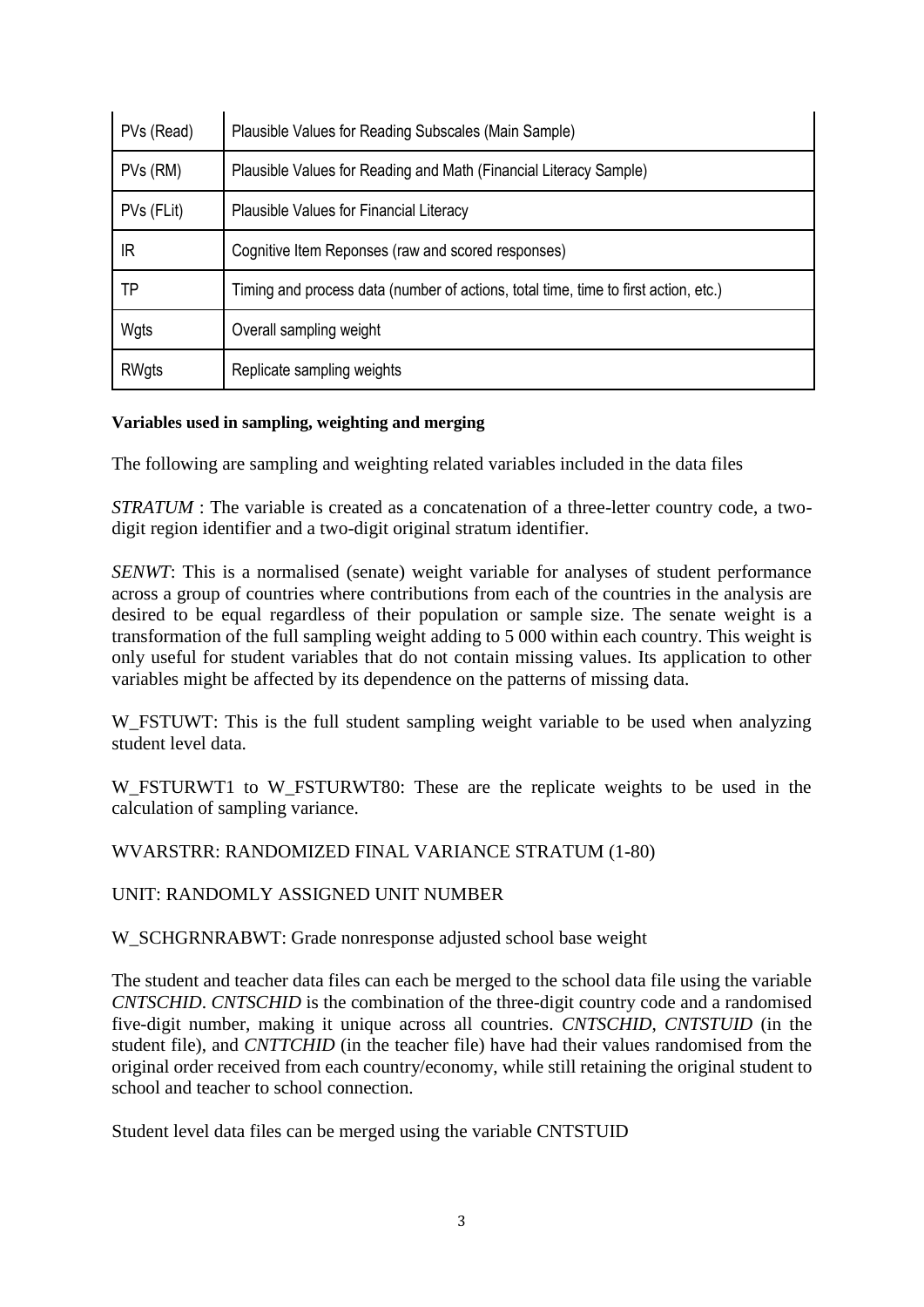| PVs (Read)   | Plausible Values for Reading Subscales (Main Sample)                                |  |  |  |  |
|--------------|-------------------------------------------------------------------------------------|--|--|--|--|
| PVs (RM)     | Plausible Values for Reading and Math (Financial Literacy Sample)                   |  |  |  |  |
| PVs (FLit)   | Plausible Values for Financial Literacy                                             |  |  |  |  |
| IR           | Cognitive Item Reponses (raw and scored responses)                                  |  |  |  |  |
| TP           | Timing and process data (number of actions, total time, time to first action, etc.) |  |  |  |  |
| Wgts         | Overall sampling weight                                                             |  |  |  |  |
| <b>RWgts</b> | Replicate sampling weights                                                          |  |  |  |  |

#### **Variables used in sampling, weighting and merging**

The following are sampling and weighting related variables included in the data files

*STRATUM*: The variable is created as a concatenation of a three-letter country code, a twodigit region identifier and a two-digit original stratum identifier.

*SENWT*: This is a normalised (senate) weight variable for analyses of student performance across a group of countries where contributions from each of the countries in the analysis are desired to be equal regardless of their population or sample size. The senate weight is a transformation of the full sampling weight adding to 5 000 within each country. This weight is only useful for student variables that do not contain missing values. Its application to other variables might be affected by its dependence on the patterns of missing data.

W\_FSTUWT: This is the full student sampling weight variable to be used when analyzing student level data.

W\_FSTURWT1 to W\_FSTURWT80: These are the replicate weights to be used in the calculation of sampling variance.

WVARSTRR: RANDOMIZED FINAL VARIANCE STRATUM (1-80)

UNIT: RANDOMLY ASSIGNED UNIT NUMBER

W\_SCHGRNRABWT: Grade nonresponse adjusted school base weight

The student and teacher data files can each be merged to the school data file using the variable *CNTSCHID*. *CNTSCHID* is the combination of the three-digit country code and a randomised five-digit number, making it unique across all countries. *CNTSCHID*, *CNTSTUID* (in the student file), and *CNTTCHID* (in the teacher file) have had their values randomised from the original order received from each country/economy, while still retaining the original student to school and teacher to school connection.

Student level data files can be merged using the variable CNTSTUID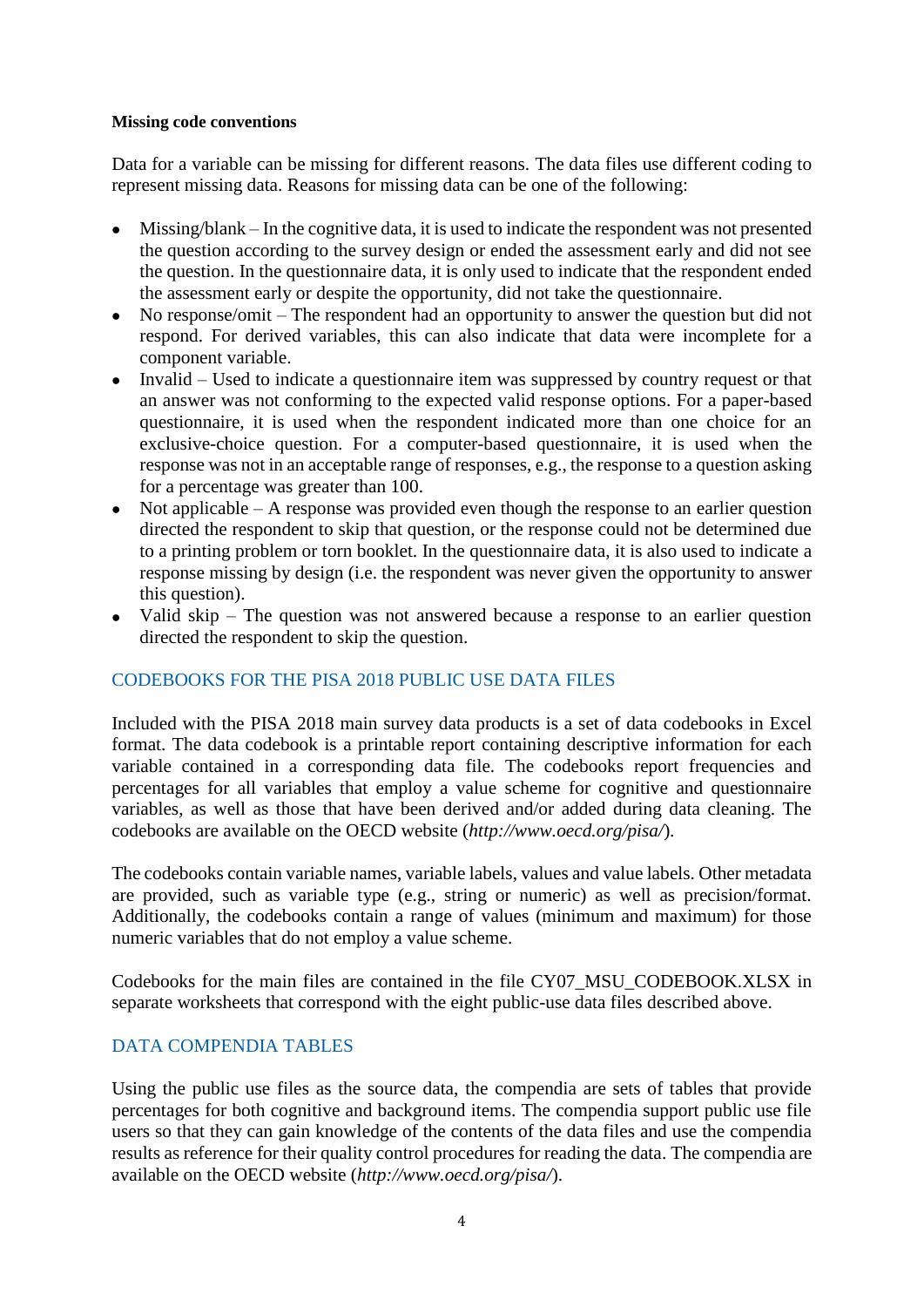#### **Missing code conventions**

Data for a variable can be missing for different reasons. The data files use different coding to represent missing data. Reasons for missing data can be one of the following:

- Missing/blank In the cognitive data, it is used to indicate the respondent was not presented the question according to the survey design or ended the assessment early and did not see the question. In the questionnaire data, it is only used to indicate that the respondent ended the assessment early or despite the opportunity, did not take the questionnaire.
- No response/omit The respondent had an opportunity to answer the question but did not respond. For derived variables, this can also indicate that data were incomplete for a component variable.
- Invalid Used to indicate a questionnaire item was suppressed by country request or that an answer was not conforming to the expected valid response options. For a paper-based questionnaire, it is used when the respondent indicated more than one choice for an exclusive-choice question. For a computer-based questionnaire, it is used when the response was not in an acceptable range of responses, e.g., the response to a question asking for a percentage was greater than 100.
- $\bullet$  Not applicable A response was provided even though the response to an earlier question directed the respondent to skip that question, or the response could not be determined due to a printing problem or torn booklet. In the questionnaire data, it is also used to indicate a response missing by design (i.e. the respondent was never given the opportunity to answer this question).
- Valid skip The question was not answered because a response to an earlier question directed the respondent to skip the question.

# CODEBOOKS FOR THE PISA 2018 PUBLIC USE DATA FILES

Included with the PISA 2018 main survey data products is a set of data codebooks in Excel format. The data codebook is a printable report containing descriptive information for each variable contained in a corresponding data file. The codebooks report frequencies and percentages for all variables that employ a value scheme for cognitive and questionnaire variables, as well as those that have been derived and/or added during data cleaning. The codebooks are available on the OECD website (*<http://www.oecd.org/pisa/>*).

The codebooks contain variable names, variable labels, values and value labels. Other metadata are provided, such as variable type (e.g., string or numeric) as well as precision/format. Additionally, the codebooks contain a range of values (minimum and maximum) for those numeric variables that do not employ a value scheme.

Codebooks for the main files are contained in the file CY07\_MSU\_CODEBOOK.XLSX in separate worksheets that correspond with the eight public-use data files described above.

# DATA COMPENDIA TABLES

Using the public use files as the source data, the compendia are sets of tables that provide percentages for both cognitive and background items. The compendia support public use file users so that they can gain knowledge of the contents of the data files and use the compendia results as reference for their quality control procedures for reading the data. The compendia are available on the OECD website (*<http://www.oecd.org/pisa/>*).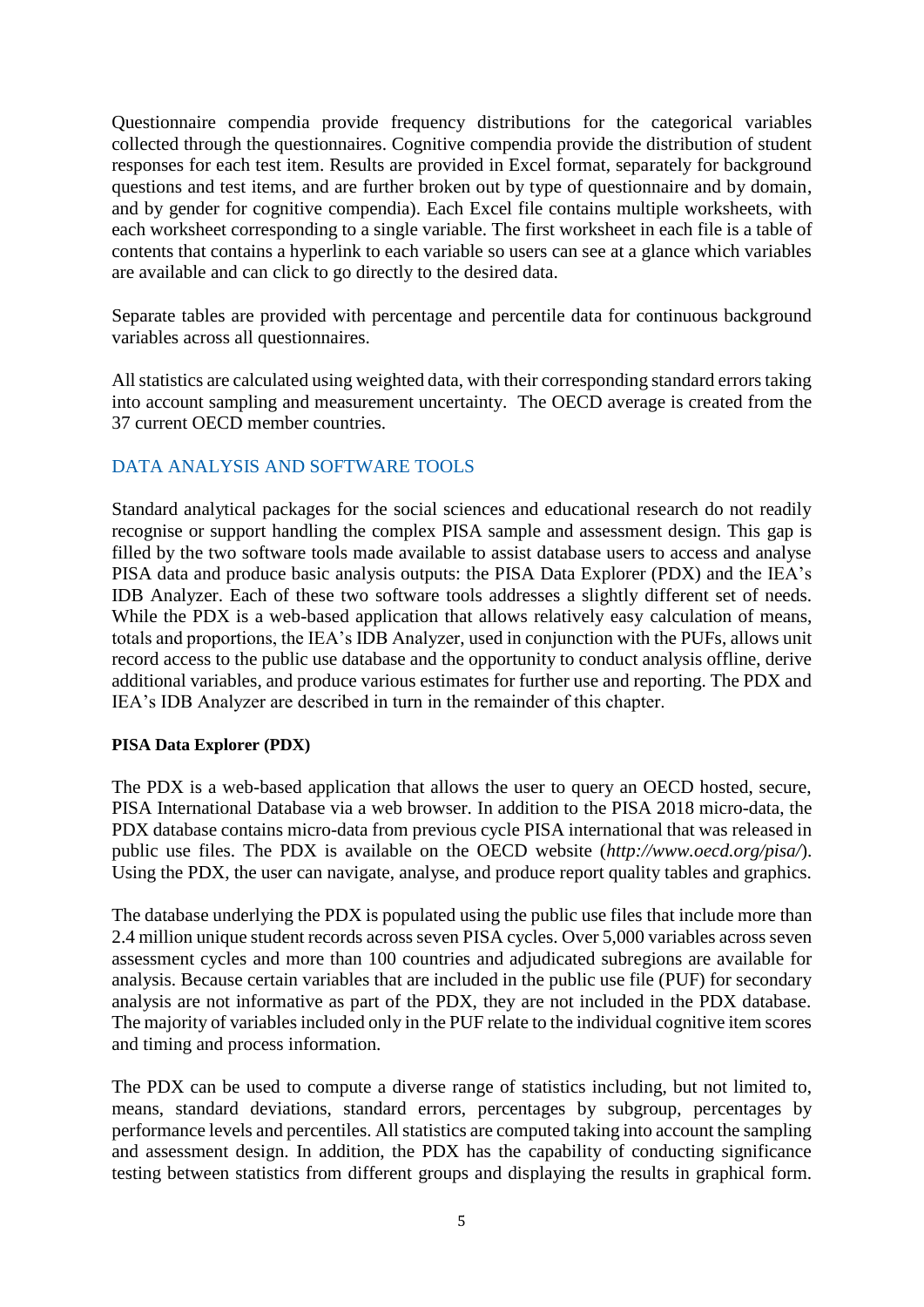Questionnaire compendia provide frequency distributions for the categorical variables collected through the questionnaires. Cognitive compendia provide the distribution of student responses for each test item. Results are provided in Excel format, separately for background questions and test items, and are further broken out by type of questionnaire and by domain, and by gender for cognitive compendia). Each Excel file contains multiple worksheets, with each worksheet corresponding to a single variable. The first worksheet in each file is a table of contents that contains a hyperlink to each variable so users can see at a glance which variables are available and can click to go directly to the desired data.

Separate tables are provided with percentage and percentile data for continuous background variables across all questionnaires.

All statistics are calculated using weighted data, with their corresponding standard errors taking into account sampling and measurement uncertainty. The OECD average is created from the 37 current OECD member countries.

# DATA ANALYSIS AND SOFTWARE TOOLS

Standard analytical packages for the social sciences and educational research do not readily recognise or support handling the complex PISA sample and assessment design. This gap is filled by the two software tools made available to assist database users to access and analyse PISA data and produce basic analysis outputs: the PISA Data Explorer (PDX) and the IEA's IDB Analyzer. Each of these two software tools addresses a slightly different set of needs. While the PDX is a web-based application that allows relatively easy calculation of means, totals and proportions, the IEA's IDB Analyzer, used in conjunction with the PUFs, allows unit record access to the public use database and the opportunity to conduct analysis offline, derive additional variables, and produce various estimates for further use and reporting. The PDX and IEA's IDB Analyzer are described in turn in the remainder of this chapter.

#### **PISA Data Explorer (PDX)**

The PDX is a web-based application that allows the user to query an OECD hosted, secure, PISA International Database via a web browser. In addition to the PISA 2018 micro-data, the PDX database contains micro-data from previous cycle PISA international that was released in public use files. The PDX is available on the OECD website (*<http://www.oecd.org/pisa/>*). Using the PDX, the user can navigate, analyse, and produce report quality tables and graphics.

The database underlying the PDX is populated using the public use files that include more than 2.4 million unique student records across seven PISA cycles. Over 5,000 variables across seven assessment cycles and more than 100 countries and adjudicated subregions are available for analysis. Because certain variables that are included in the public use file (PUF) for secondary analysis are not informative as part of the PDX, they are not included in the PDX database. The majority of variables included only in the PUF relate to the individual cognitive item scores and timing and process information.

The PDX can be used to compute a diverse range of statistics including, but not limited to, means, standard deviations, standard errors, percentages by subgroup, percentages by performance levels and percentiles. All statistics are computed taking into account the sampling and assessment design. In addition, the PDX has the capability of conducting significance testing between statistics from different groups and displaying the results in graphical form.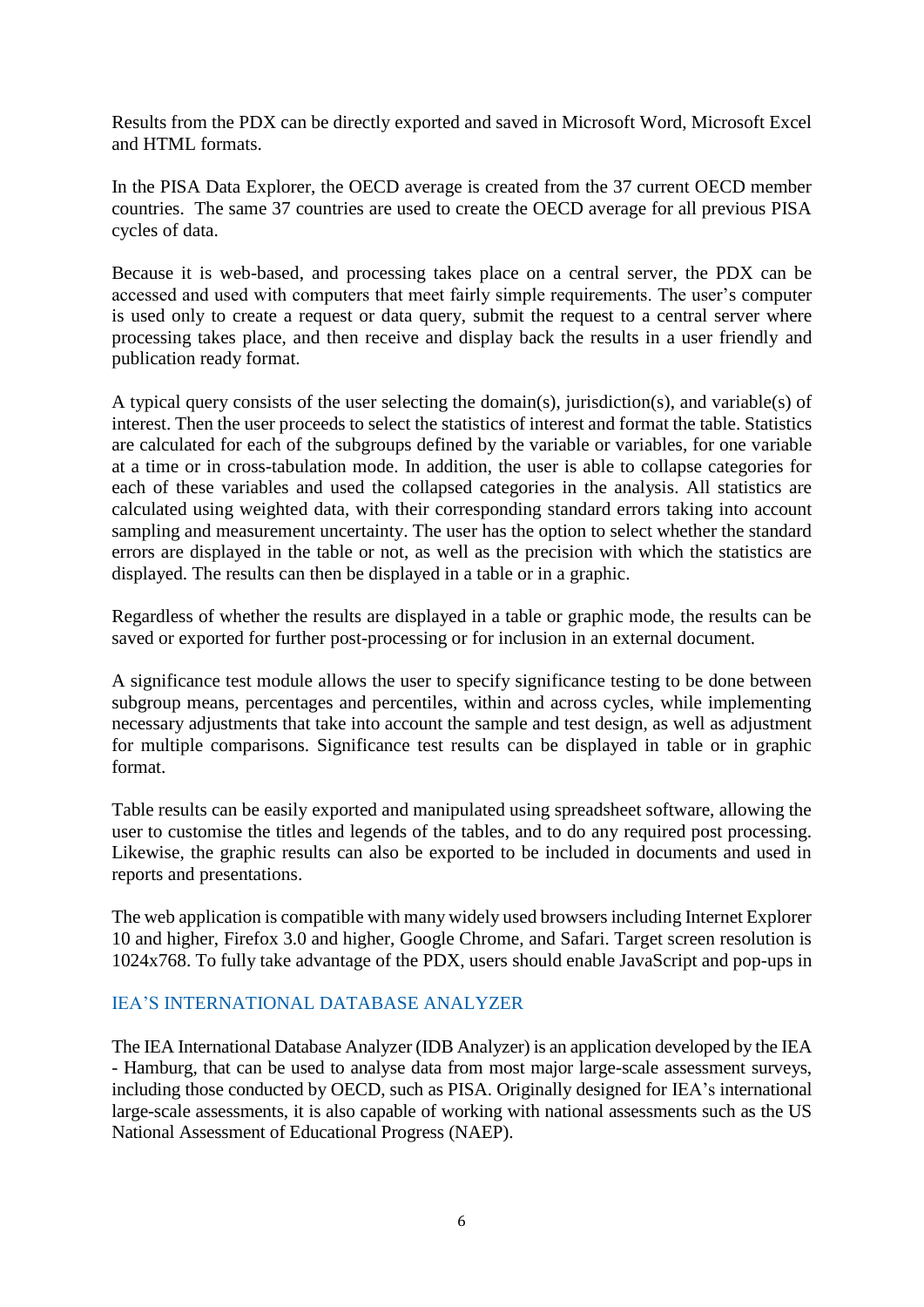Results from the PDX can be directly exported and saved in Microsoft Word, Microsoft Excel and HTML formats.

In the PISA Data Explorer, the OECD average is created from the 37 current OECD member countries. The same 37 countries are used to create the OECD average for all previous PISA cycles of data.

Because it is web-based, and processing takes place on a central server, the PDX can be accessed and used with computers that meet fairly simple requirements. The user's computer is used only to create a request or data query, submit the request to a central server where processing takes place, and then receive and display back the results in a user friendly and publication ready format.

A typical query consists of the user selecting the domain(s), jurisdiction(s), and variable(s) of interest. Then the user proceeds to select the statistics of interest and format the table. Statistics are calculated for each of the subgroups defined by the variable or variables, for one variable at a time or in cross-tabulation mode. In addition, the user is able to collapse categories for each of these variables and used the collapsed categories in the analysis. All statistics are calculated using weighted data, with their corresponding standard errors taking into account sampling and measurement uncertainty. The user has the option to select whether the standard errors are displayed in the table or not, as well as the precision with which the statistics are displayed. The results can then be displayed in a table or in a graphic.

Regardless of whether the results are displayed in a table or graphic mode, the results can be saved or exported for further post-processing or for inclusion in an external document.

A significance test module allows the user to specify significance testing to be done between subgroup means, percentages and percentiles, within and across cycles, while implementing necessary adjustments that take into account the sample and test design, as well as adjustment for multiple comparisons. Significance test results can be displayed in table or in graphic format.

Table results can be easily exported and manipulated using spreadsheet software, allowing the user to customise the titles and legends of the tables, and to do any required post processing. Likewise, the graphic results can also be exported to be included in documents and used in reports and presentations.

The web application is compatible with many widely used browsers including Internet Explorer 10 and higher, Firefox 3.0 and higher, Google Chrome, and Safari. Target screen resolution is 1024x768. To fully take advantage of the PDX, users should enable JavaScript and pop-ups in

# IEA'S INTERNATIONAL DATABASE ANALYZER

The IEA International Database Analyzer (IDB Analyzer) is an application developed by the IEA - Hamburg, that can be used to analyse data from most major large-scale assessment surveys, including those conducted by OECD, such as PISA. Originally designed for IEA's international large-scale assessments, it is also capable of working with national assessments such as the US National Assessment of Educational Progress (NAEP).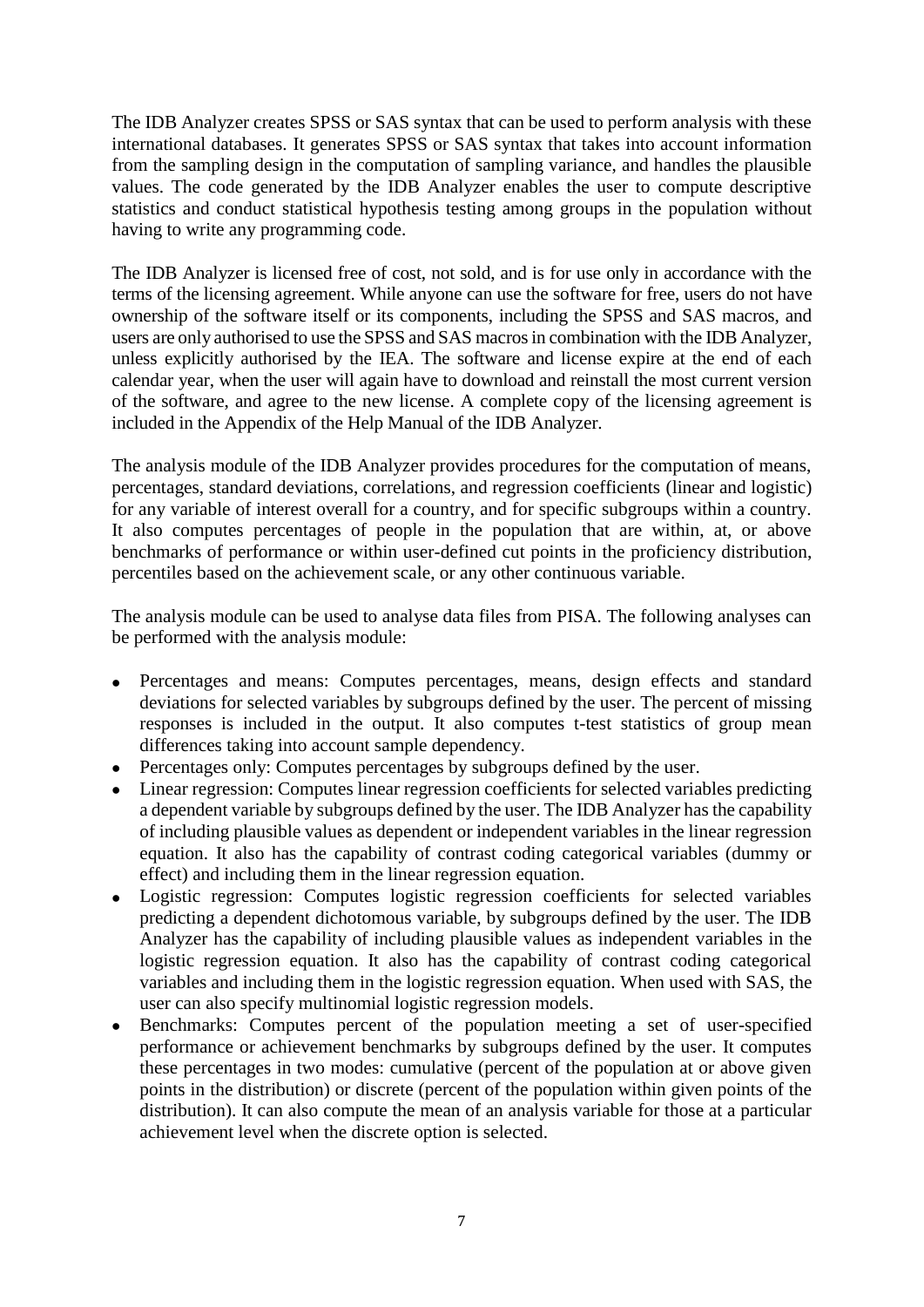The IDB Analyzer creates SPSS or SAS syntax that can be used to perform analysis with these international databases. It generates SPSS or SAS syntax that takes into account information from the sampling design in the computation of sampling variance, and handles the plausible values. The code generated by the IDB Analyzer enables the user to compute descriptive statistics and conduct statistical hypothesis testing among groups in the population without having to write any programming code.

The IDB Analyzer is licensed free of cost, not sold, and is for use only in accordance with the terms of the licensing agreement. While anyone can use the software for free, users do not have ownership of the software itself or its components, including the SPSS and SAS macros, and users are only authorised to use the SPSS and SAS macros in combination with the IDB Analyzer, unless explicitly authorised by the IEA. The software and license expire at the end of each calendar year, when the user will again have to download and reinstall the most current version of the software, and agree to the new license. A complete copy of the licensing agreement is included in the Appendix of the Help Manual of the IDB Analyzer.

The analysis module of the IDB Analyzer provides procedures for the computation of means, percentages, standard deviations, correlations, and regression coefficients (linear and logistic) for any variable of interest overall for a country, and for specific subgroups within a country. It also computes percentages of people in the population that are within, at, or above benchmarks of performance or within user-defined cut points in the proficiency distribution, percentiles based on the achievement scale, or any other continuous variable.

The analysis module can be used to analyse data files from PISA. The following analyses can be performed with the analysis module:

- Percentages and means: Computes percentages, means, design effects and standard deviations for selected variables by subgroups defined by the user. The percent of missing responses is included in the output. It also computes t-test statistics of group mean differences taking into account sample dependency.
- Percentages only: Computes percentages by subgroups defined by the user.
- Linear regression: Computes linear regression coefficients for selected variables predicting a dependent variable by subgroups defined by the user. The IDB Analyzer has the capability of including plausible values as dependent or independent variables in the linear regression equation. It also has the capability of contrast coding categorical variables (dummy or effect) and including them in the linear regression equation.
- Logistic regression: Computes logistic regression coefficients for selected variables predicting a dependent dichotomous variable, by subgroups defined by the user. The IDB Analyzer has the capability of including plausible values as independent variables in the logistic regression equation. It also has the capability of contrast coding categorical variables and including them in the logistic regression equation. When used with SAS, the user can also specify multinomial logistic regression models.
- Benchmarks: Computes percent of the population meeting a set of user-specified performance or achievement benchmarks by subgroups defined by the user. It computes these percentages in two modes: cumulative (percent of the population at or above given points in the distribution) or discrete (percent of the population within given points of the distribution). It can also compute the mean of an analysis variable for those at a particular achievement level when the discrete option is selected.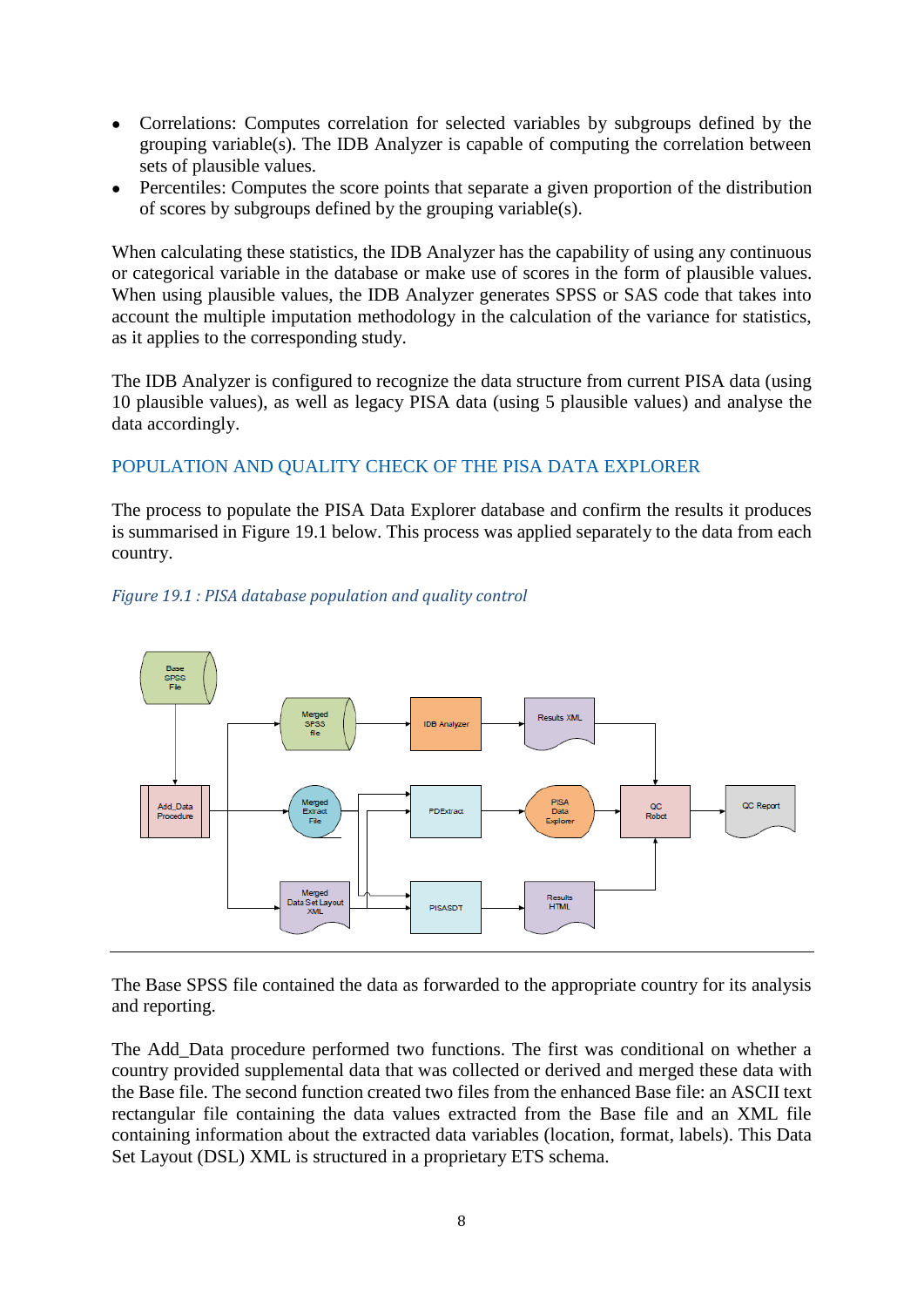- Correlations: Computes correlation for selected variables by subgroups defined by the grouping variable(s). The IDB Analyzer is capable of computing the correlation between sets of plausible values.
- Percentiles: Computes the score points that separate a given proportion of the distribution of scores by subgroups defined by the grouping variable(s).

When calculating these statistics, the IDB Analyzer has the capability of using any continuous or categorical variable in the database or make use of scores in the form of plausible values. When using plausible values, the IDB Analyzer generates SPSS or SAS code that takes into account the multiple imputation methodology in the calculation of the variance for statistics, as it applies to the corresponding study.

The IDB Analyzer is configured to recognize the data structure from current PISA data (using 10 plausible values), as well as legacy PISA data (using 5 plausible values) and analyse the data accordingly.

# POPULATION AND QUALITY CHECK OF THE PISA DATA EXPLORER

The process to populate the PISA Data Explorer database and confirm the results it produces is summarised in Figure 19.1 below. This process was applied separately to the data from each country.



#### *Figure 19.1 : PISA database population and quality control*

The Base SPSS file contained the data as forwarded to the appropriate country for its analysis and reporting.

The Add\_Data procedure performed two functions. The first was conditional on whether a country provided supplemental data that was collected or derived and merged these data with the Base file. The second function created two files from the enhanced Base file: an ASCII text rectangular file containing the data values extracted from the Base file and an XML file containing information about the extracted data variables (location, format, labels). This Data Set Layout (DSL) XML is structured in a proprietary ETS schema.